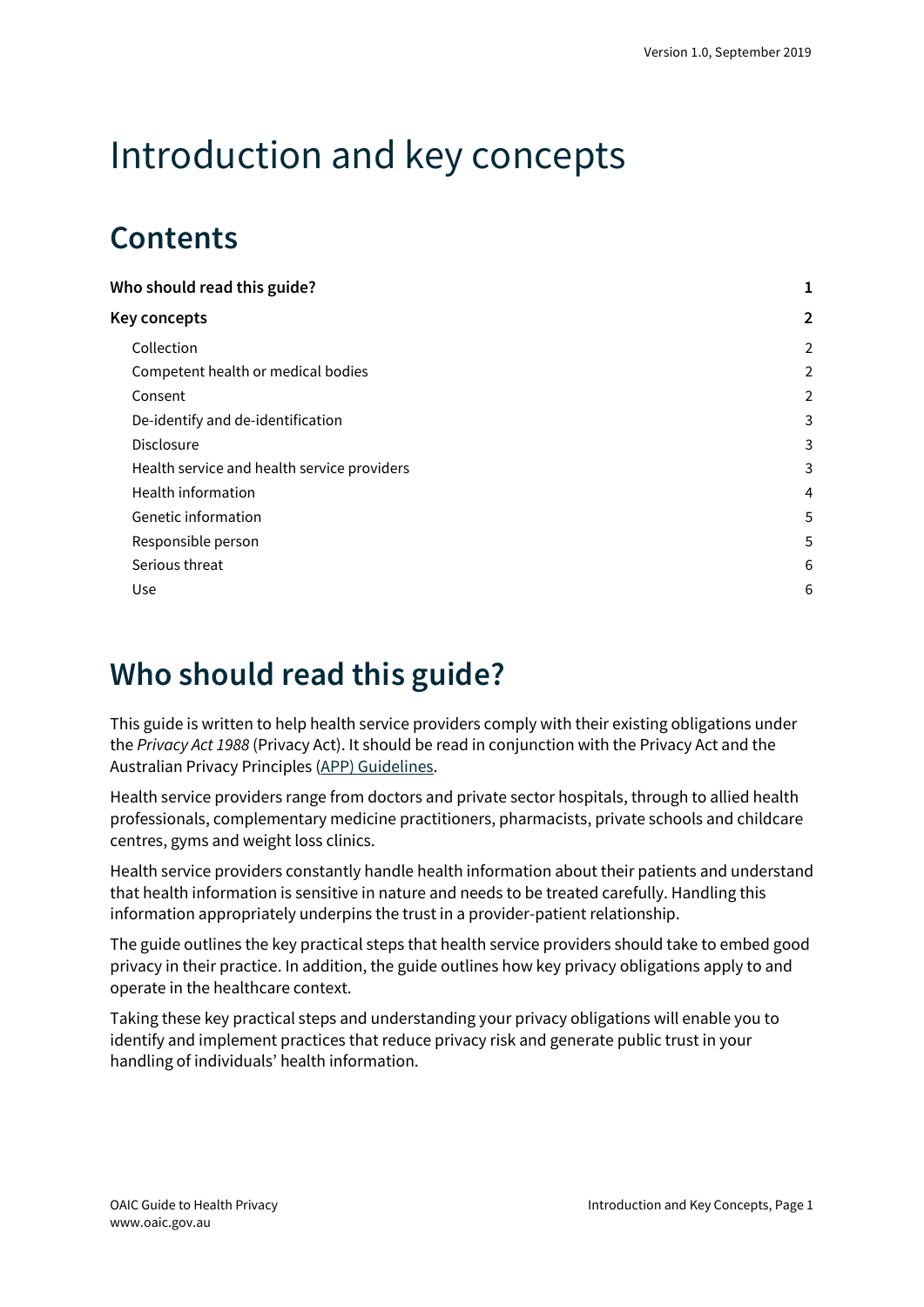# Introduction and key concepts

# **Contents**

| Who should read this guide?                 |                         |
|---------------------------------------------|-------------------------|
| Key concepts                                | 2                       |
| Collection                                  | $\overline{a}$          |
| Competent health or medical bodies          | 2                       |
| Consent                                     | $\overline{\mathbf{c}}$ |
| De-identify and de-identification           | 3                       |
| <b>Disclosure</b>                           | 3                       |
| Health service and health service providers | 3                       |
| Health information                          | 4                       |
| Genetic information                         | 5                       |
| Responsible person                          | 5                       |
| Serious threat                              | 6                       |
| Use                                         | 6                       |
|                                             |                         |

# <span id="page-0-0"></span>**Who should read this guide?**

This guide is written to help health service providers comply with their existing obligations under the *Privacy Act 1988* (Privacy Act). It should be read in conjunction with the Privacy Act and the Australian Privacy Principles (APP) [Guidelines.](https://www.oaic.gov.au/app-guidelines)

Health service providers range from doctors and private sector hospitals, through to allied health professionals, complementary medicine practitioners, pharmacists, private schools and childcare centres, gyms and weight loss clinics.

Health service providers constantly handle health information about their patients and understand that health information is sensitive in nature and needs to be treated carefully. Handling this information appropriately underpins the trust in a provider-patient relationship.

The guide outlines the key practical steps that health service providers should take to embed good privacy in their practice. In addition, the guide outlines how key privacy obligations apply to and operate in the healthcare context.

Taking these key practical steps and understanding your privacy obligations will enable you to identify and implement practices that reduce privacy risk and generate public trust in your handling of individuals' health information.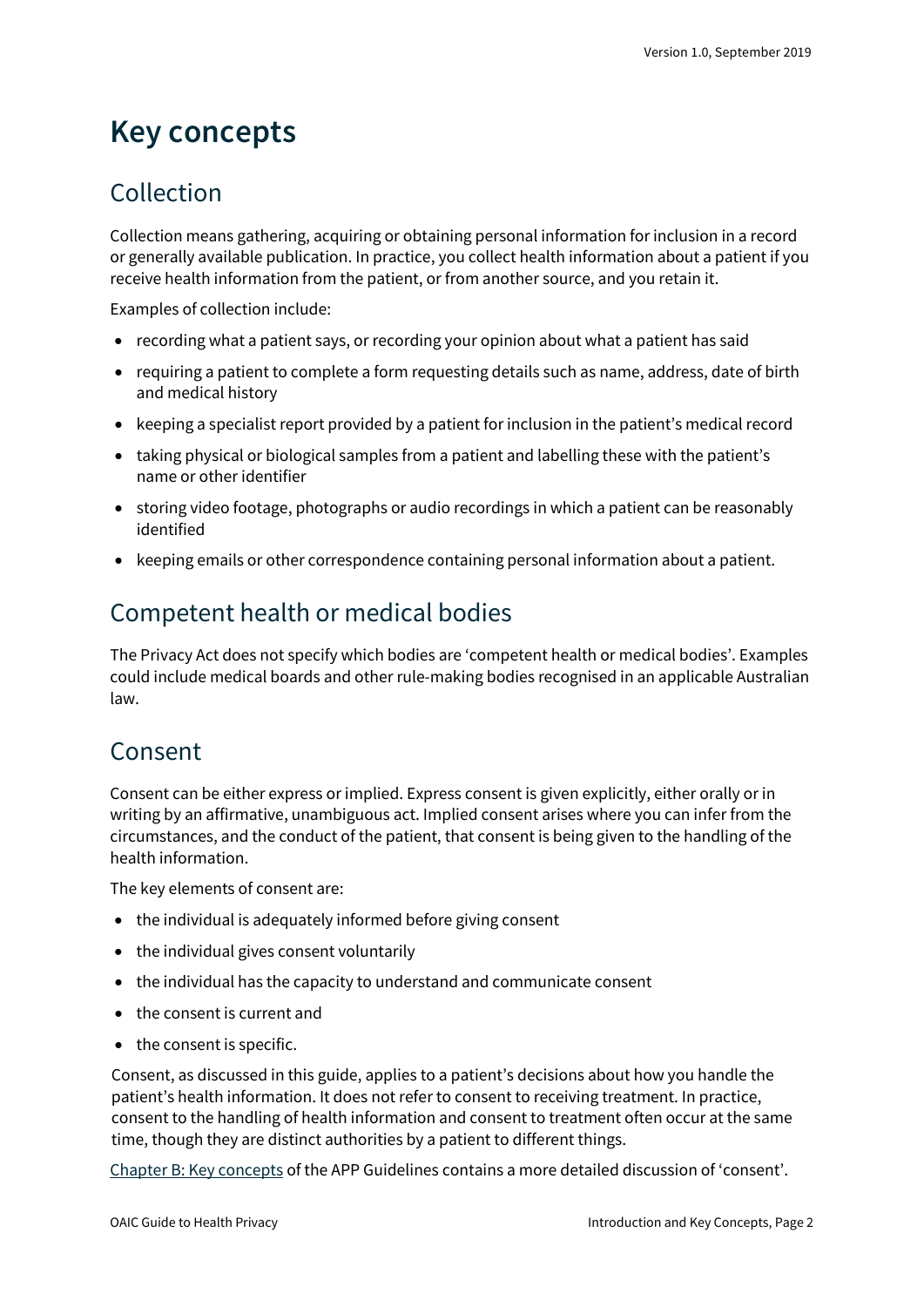# <span id="page-1-0"></span>**Key concepts**

### <span id="page-1-1"></span>Collection

Collection means gathering, acquiring or obtaining personal information for inclusion in a record or generally available publication. In practice, you collect health information about a patient if you receive health information from the patient, or from another source, and you retain it.

Examples of collection include:

- recording what a patient says, or recording your opinion about what a patient has said
- requiring a patient to complete a form requesting details such as name, address, date of birth and medical history
- keeping a specialist report provided by a patient for inclusion in the patient's medical record
- taking physical or biological samples from a patient and labelling these with the patient's name or other identifier
- storing video footage, photographs or audio recordings in which a patient can be reasonably identified
- keeping emails or other correspondence containing personal information about a patient.

## <span id="page-1-2"></span>Competent health or medical bodies

The Privacy Act does not specify which bodies are 'competent health or medical bodies'. Examples could include medical boards and other rule-making bodies recognised in an applicable Australian law.

#### <span id="page-1-3"></span>Consent

Consent can be either express or implied. Express consent is given explicitly, either orally or in writing by an affirmative, unambiguous act. Implied consent arises where you can infer from the circumstances, and the conduct of the patient, that consent is being given to the handling of the health information.

The key elements of consent are:

- the individual is adequately informed before giving consent
- the individual gives consent voluntarily
- the individual has the capacity to understand and communicate consent
- the consent is current and
- the consent is specific.

Consent, as discussed in this guide, applies to a patient's decisions about how you handle the patient's health information. It does not refer to consent to receiving treatment. In practice, consent to the handling of health information and consent to treatment often occur at the same time, though they are distinct authorities by a patient to different things.

[Chapter B: Key concepts](https://www.oaic.gov.au/privacy/australian-privacy-principles-guidelines/chapter-b-key-concepts/) of the APP Guidelines contains a more detailed discussion of 'consent'.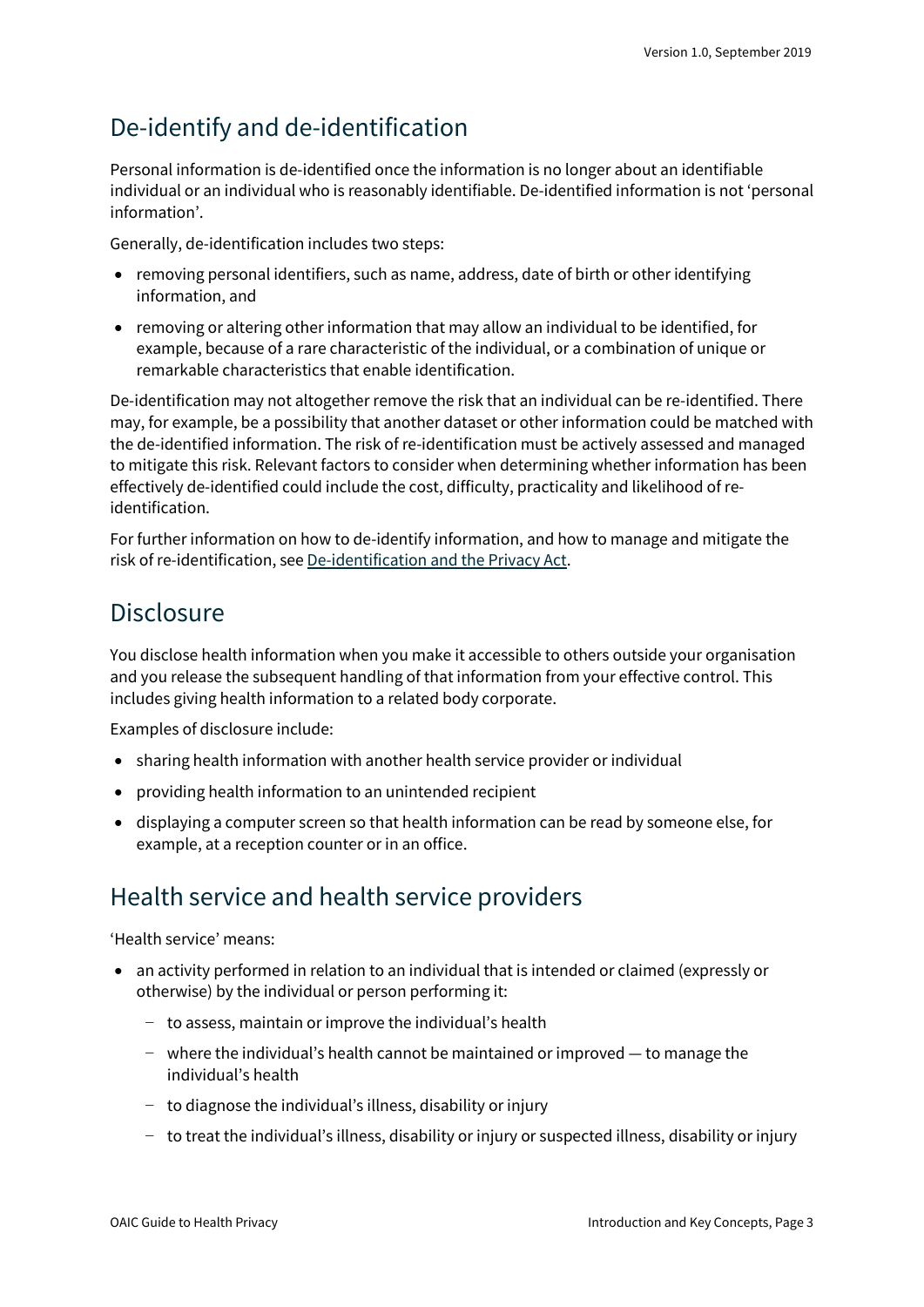### <span id="page-2-0"></span>De-identify and de-identification

Personal information is de-identified once the information is no longer about an identifiable individual or an individual who is reasonably identifiable. De-identified information is not 'personal information'.

Generally, de-identification includes two steps:

- removing personal identifiers, such as name, address, date of birth or other identifying information, and
- removing or altering other information that may allow an individual to be identified, for example, because of a rare characteristic of the individual, or a combination of unique or remarkable characteristics that enable identification.

De-identification may not altogether remove the risk that an individual can be re-identified. There may, for example, be a possibility that another dataset or other information could be matched with the de-identified information. The risk of re-identification must be actively assessed and managed to mitigate this risk. Relevant factors to consider when determining whether information has been effectively de-identified could include the cost, difficulty, practicality and likelihood of reidentification.

For further information on how to de-identify information, and how to manage and mitigate the risk of re-identification, see [De-identification and the Privacy Act.](https://oaic.gov.au/privacy/guidance-and-advice/de-identification-and-the-privacy-act/)

#### <span id="page-2-1"></span>**Disclosure**

You disclose health information when you make it accessible to others outside your organisation and you release the subsequent handling of that information from your effective control. This includes giving health information to a related body corporate.

Examples of disclosure include:

- sharing health information with another health service provider or individual
- providing health information to an unintended recipient
- displaying a computer screen so that health information can be read by someone else, for example, at a reception counter or in an office.

#### <span id="page-2-2"></span>Health service and health service providers

'Health service' means:

- an activity performed in relation to an individual that is intended or claimed (expressly or otherwise) by the individual or person performing it:
	- − to assess, maintain or improve the individual's health
	- − where the individual's health cannot be maintained or improved to manage the individual's health
	- − to diagnose the individual's illness, disability or injury
	- − to treat the individual's illness, disability or injury or suspected illness, disability or injury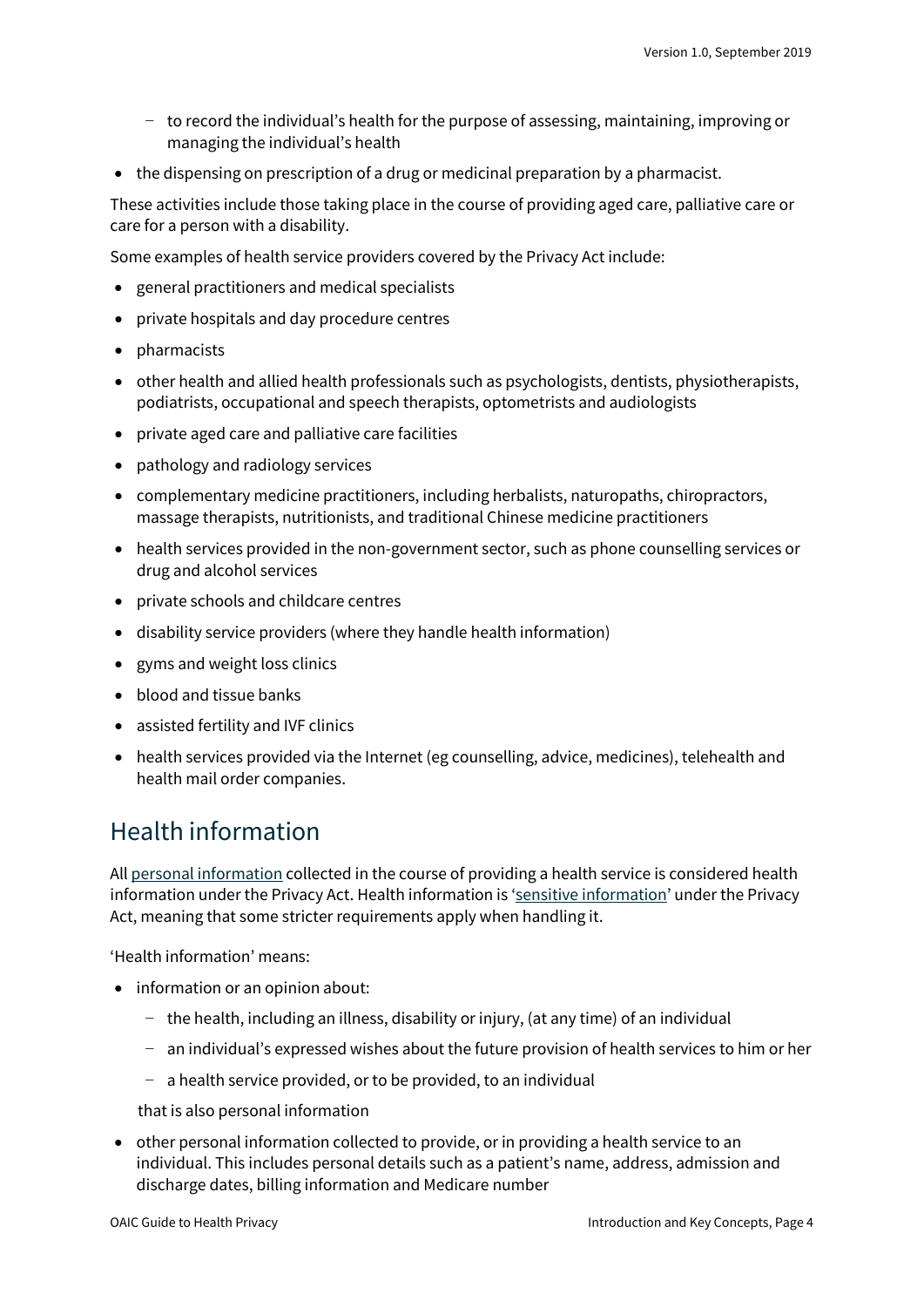- − to record the individual's health for the purpose of assessing, maintaining, improving or managing the individual's health
- the dispensing on prescription of a drug or medicinal preparation by a pharmacist.

These activities include those taking place in the course of providing aged care, palliative care or care for a person with a disability.

Some examples of health service providers covered by the Privacy Act include:

- general practitioners and medical specialists
- private hospitals and day procedure centres
- pharmacists
- other health and allied health professionals such as psychologists, dentists, physiotherapists, podiatrists, occupational and speech therapists, optometrists and audiologists
- private aged care and palliative care facilities
- pathology and radiology services
- complementary medicine practitioners, including herbalists, naturopaths, chiropractors, massage therapists, nutritionists, and traditional Chinese medicine practitioners
- health services provided in the non-government sector, such as phone counselling services or drug and alcohol services
- private schools and childcare centres
- disability service providers (where they handle health information)
- gyms and weight loss clinics
- blood and tissue banks
- assisted fertility and IVF clinics
- health services provided via the Internet (eg counselling, advice, medicines), telehealth and health mail order companies.

#### <span id="page-3-0"></span>Health information

Al[l personal information](https://oaic.gov.au/privacy/australian-privacy-principles-guidelines/chapter-b-key-concepts/#personal-information) collected in the course of providing a health service is considered health information under the Privacy Act. Health information is ['sensitive information'](https://oaic.gov.au/privacy/australian-privacy-principles-guidelines/chapter-b-key-concepts/#sensitive-information) under the Privacy Act, meaning that some stricter requirements apply when handling it.

'Health information' means:

- information or an opinion about:
	- − the health, including an illness, disability or injury, (at any time) of an individual
	- − an individual's expressed wishes about the future provision of health services to him or her
	- − a health service provided, or to be provided, to an individual

that is also personal information

• other personal information collected to provide, or in providing a health service to an individual. This includes personal details such as a patient's name, address, admission and discharge dates, billing information and Medicare number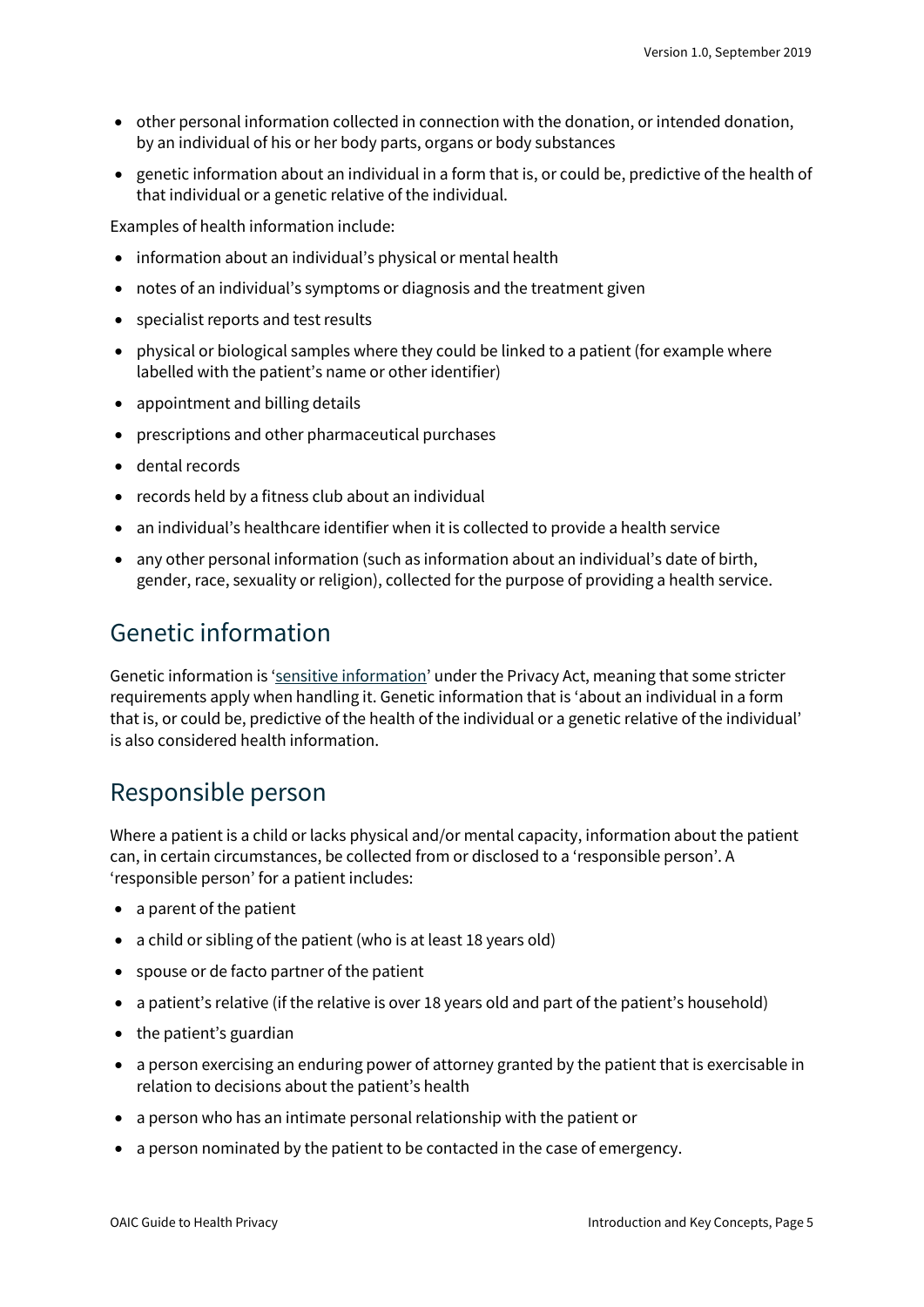- other personal information collected in connection with the donation, or intended donation, by an individual of his or her body parts, organs or body substances
- genetic information about an individual in a form that is, or could be, predictive of the health of that individual or a genetic relative of the individual.

Examples of health information include:

- information about an individual's physical or mental health
- notes of an individual's symptoms or diagnosis and the treatment given
- specialist reports and test results
- physical or biological samples where they could be linked to a patient (for example where labelled with the patient's name or other identifier)
- appointment and billing details
- prescriptions and other pharmaceutical purchases
- dental records
- records held by a fitness club about an individual
- an individual's healthcare identifier when it is collected to provide a health service
- any other personal information (such as information about an individual's date of birth, gender, race, sexuality or religion), collected for the purpose of providing a health service.

#### <span id="page-4-0"></span>Genetic information

Genetic information is ['sensitive information'](https://oaic.gov.au/privacy/australian-privacy-principles-guidelines/chapter-b-key-concepts/#sensitive-information) under the Privacy Act, meaning that some stricter requirements apply when handling it. Genetic information that is 'about an individual in a form that is, or could be, predictive of the health of the individual or a genetic relative of the individual' is also considered health information.

#### <span id="page-4-1"></span>Responsible person

Where a patient is a child or lacks physical and/or mental capacity, information about the patient can, in certain circumstances, be collected from or disclosed to a 'responsible person'. A 'responsible person' for a patient includes:

- a parent of the patient
- a child or sibling of the patient (who is at least 18 years old)
- spouse or de facto partner of the patient
- a patient's relative (if the relative is over 18 years old and part of the patient's household)
- the patient's guardian
- a person exercising an enduring power of attorney granted by the patient that is exercisable in relation to decisions about the patient's health
- a person who has an intimate personal relationship with the patient or
- a person nominated by the patient to be contacted in the case of emergency.